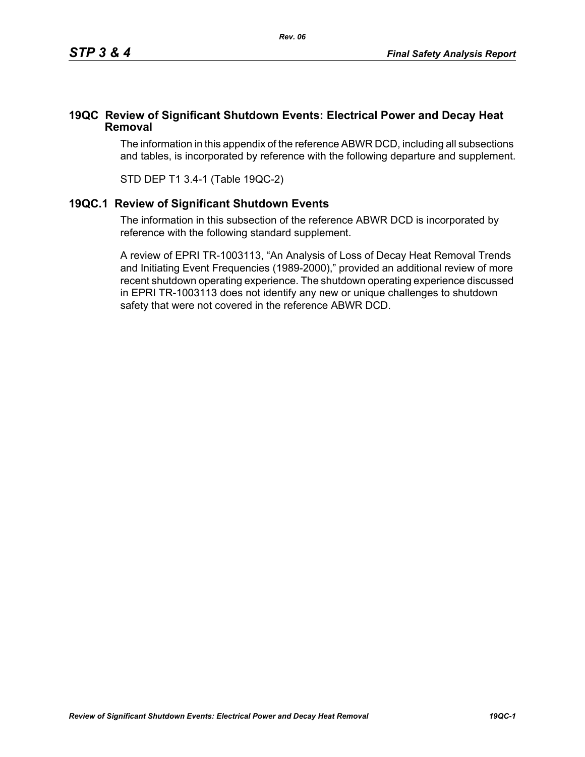## **19QC Review of Significant Shutdown Events: Electrical Power and Decay Heat Removal**

The information in this appendix of the reference ABWR DCD, including all subsections and tables, is incorporated by reference with the following departure and supplement.

STD DEP T1 3.4-1 (Table 19QC-2)

## **19QC.1 Review of Significant Shutdown Events**

The information in this subsection of the reference ABWR DCD is incorporated by reference with the following standard supplement.

A review of EPRI TR-1003113, "An Analysis of Loss of Decay Heat Removal Trends and Initiating Event Frequencies (1989-2000)," provided an additional review of more recent shutdown operating experience. The shutdown operating experience discussed in EPRI TR-1003113 does not identify any new or unique challenges to shutdown safety that were not covered in the reference ABWR DCD.